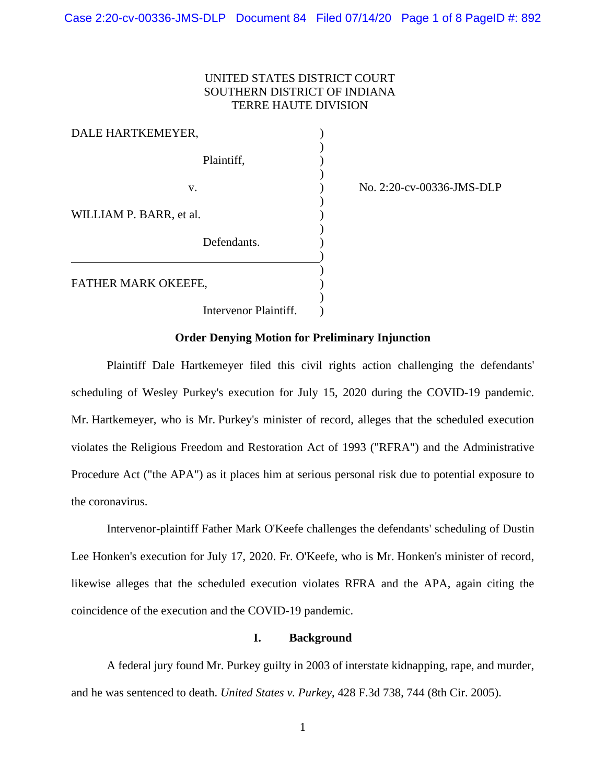## UNITED STATES DISTRICT COURT SOUTHERN DISTRICT OF INDIANA TERRE HAUTE DIVISION

)

)

)

| DALE HARTKEMEYER,       |  |
|-------------------------|--|
| Plaintiff,              |  |
| v.                      |  |
| WILLIAM P. BARR, et al. |  |
| Defendants.             |  |
| FATHER MARK OKEEFE,     |  |
| Intervenor Plaintiff.   |  |

) No. 2:20-cv-00336-JMS-DLP

# **Order Denying Motion for Preliminary Injunction**

Plaintiff Dale Hartkemeyer filed this civil rights action challenging the defendants' scheduling of Wesley Purkey's execution for July 15, 2020 during the COVID-19 pandemic. Mr. Hartkemeyer, who is Mr. Purkey's minister of record, alleges that the scheduled execution violates the Religious Freedom and Restoration Act of 1993 ("RFRA") and the Administrative Procedure Act ("the APA") as it places him at serious personal risk due to potential exposure to the coronavirus.

Intervenor-plaintiff Father Mark O'Keefe challenges the defendants' scheduling of Dustin Lee Honken's execution for July 17, 2020. Fr. O'Keefe, who is Mr. Honken's minister of record, likewise alleges that the scheduled execution violates RFRA and the APA, again citing the coincidence of the execution and the COVID-19 pandemic.

# **I. Background**

A federal jury found Mr. Purkey guilty in 2003 of interstate kidnapping, rape, and murder, and he was sentenced to death. *United States v. Purkey*, 428 F.3d 738, 744 (8th Cir. 2005).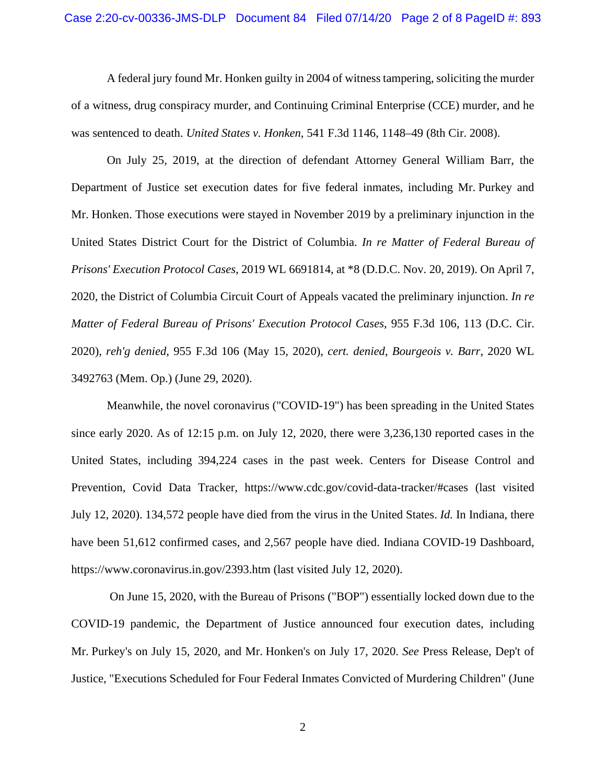### Case 2:20-cv-00336-JMS-DLP Document 84 Filed 07/14/20 Page 2 of 8 PageID #: 893

A federal jury found Mr. Honken guilty in 2004 of witness tampering, soliciting the murder of a witness, drug conspiracy murder, and Continuing Criminal Enterprise (CCE) murder, and he was sentenced to death. *United States v. Honken*, 541 F.3d 1146, 1148–49 (8th Cir. 2008).

On July 25, 2019, at the direction of defendant Attorney General William Barr, the Department of Justice set execution dates for five federal inmates, including Mr. Purkey and Mr. Honken. Those executions were stayed in November 2019 by a preliminary injunction in the United States District Court for the District of Columbia. *In re Matter of Federal Bureau of Prisons' Execution Protocol Cases*, 2019 WL 6691814, at \*8 (D.D.C. Nov. 20, 2019). On April 7, 2020, the District of Columbia Circuit Court of Appeals vacated the preliminary injunction. *In re Matter of Federal Bureau of Prisons' Execution Protocol Cases*, 955 F.3d 106, 113 (D.C. Cir. 2020), *reh'g denied*, 955 F.3d 106 (May 15, 2020), *cert. denied*, *Bourgeois v. Barr*, 2020 WL 3492763 (Mem. Op.) (June 29, 2020).

Meanwhile, the novel coronavirus ("COVID-19") has been spreading in the United States since early 2020. As of 12:15 p.m. on July 12, 2020, there were 3,236,130 reported cases in the United States, including 394,224 cases in the past week. Centers for Disease Control and Prevention, Covid Data Tracker, https://www.cdc.gov/covid-data-tracker/#cases (last visited July 12, 2020). 134,572 people have died from the virus in the United States. *Id.* In Indiana, there have been 51,612 confirmed cases, and 2,567 people have died. Indiana COVID-19 Dashboard, https://www.coronavirus.in.gov/2393.htm (last visited July 12, 2020).

On June 15, 2020, with the Bureau of Prisons ("BOP") essentially locked down due to the COVID-19 pandemic, the Department of Justice announced four execution dates, including Mr. Purkey's on July 15, 2020, and Mr. Honken's on July 17, 2020. *See* Press Release, Dep't of Justice, "Executions Scheduled for Four Federal Inmates Convicted of Murdering Children" (June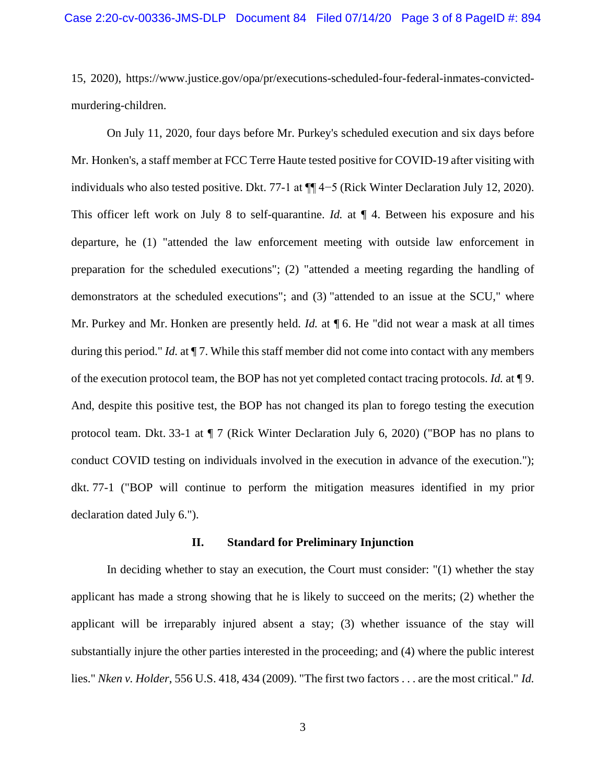15, 2020), https://www.justice.gov/opa/pr/executions-scheduled-four-federal-inmates-convictedmurdering-children.

On July 11, 2020, four days before Mr. Purkey's scheduled execution and six days before Mr. Honken's, a staff member at FCC Terre Haute tested positive for COVID-19 after visiting with individuals who also tested positive. Dkt. 77-1 at ¶¶ 4−5 (Rick Winter Declaration July 12, 2020). This officer left work on July 8 to self-quarantine. *Id.* at  $\P$  4. Between his exposure and his departure, he (1) "attended the law enforcement meeting with outside law enforcement in preparation for the scheduled executions"; (2) "attended a meeting regarding the handling of demonstrators at the scheduled executions"; and (3) "attended to an issue at the SCU," where Mr. Purkey and Mr. Honken are presently held. *Id.* at **[6.** He "did not wear a mask at all times during this period." *Id.* at  $\P$  7. While this staff member did not come into contact with any members of the execution protocol team, the BOP has not yet completed contact tracing protocols. *Id.* at ¶ 9. And, despite this positive test, the BOP has not changed its plan to forego testing the execution protocol team. Dkt. 33-1 at ¶ 7 (Rick Winter Declaration July 6, 2020) ("BOP has no plans to conduct COVID testing on individuals involved in the execution in advance of the execution."); dkt. 77-1 ("BOP will continue to perform the mitigation measures identified in my prior declaration dated July 6.").

## **II. Standard for Preliminary Injunction**

In deciding whether to stay an execution, the Court must consider: "(1) whether the stay applicant has made a strong showing that he is likely to succeed on the merits; (2) whether the applicant will be irreparably injured absent a stay; (3) whether issuance of the stay will substantially injure the other parties interested in the proceeding; and (4) where the public interest lies." *Nken v. Holder*, 556 U.S. 418, 434 (2009). "The first two factors . . . are the most critical." *Id.*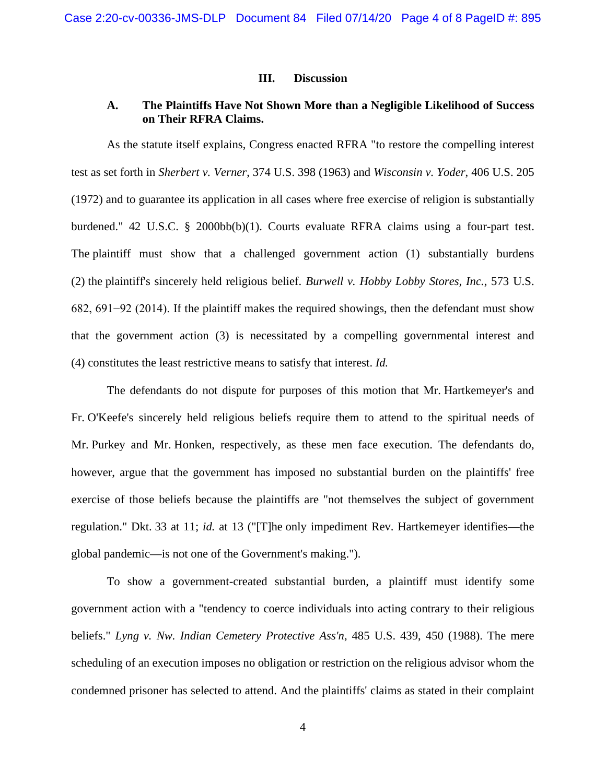### **III. Discussion**

# **A. The Plaintiffs Have Not Shown More than a Negligible Likelihood of Success on Their RFRA Claims.**

As the statute itself explains, Congress enacted RFRA "to restore the compelling interest test as set forth in *Sherbert v. Verner*, 374 U.S. 398 (1963) and *Wisconsin v. Yoder*, 406 U.S. 205 (1972) and to guarantee its application in all cases where free exercise of religion is substantially burdened." 42 U.S.C. § 2000bb(b)(1). Courts evaluate RFRA claims using a four-part test. The plaintiff must show that a challenged government action (1) substantially burdens (2) the plaintiff's sincerely held religious belief. *Burwell v. Hobby Lobby Stores, Inc.*, 573 U.S. 682, 691−92 (2014). If the plaintiff makes the required showings, then the defendant must show that the government action (3) is necessitated by a compelling governmental interest and (4) constitutes the least restrictive means to satisfy that interest. *Id.*

The defendants do not dispute for purposes of this motion that Mr. Hartkemeyer's and Fr. O'Keefe's sincerely held religious beliefs require them to attend to the spiritual needs of Mr. Purkey and Mr. Honken, respectively, as these men face execution. The defendants do, however, argue that the government has imposed no substantial burden on the plaintiffs' free exercise of those beliefs because the plaintiffs are "not themselves the subject of government regulation." Dkt. 33 at 11; *id.* at 13 ("[T]he only impediment Rev. Hartkemeyer identifies—the global pandemic—is not one of the Government's making.").

To show a government-created substantial burden, a plaintiff must identify some government action with a "tendency to coerce individuals into acting contrary to their religious beliefs." *Lyng v. Nw. Indian Cemetery Protective Ass'n*, 485 U.S. 439, 450 (1988). The mere scheduling of an execution imposes no obligation or restriction on the religious advisor whom the condemned prisoner has selected to attend. And the plaintiffs' claims as stated in their complaint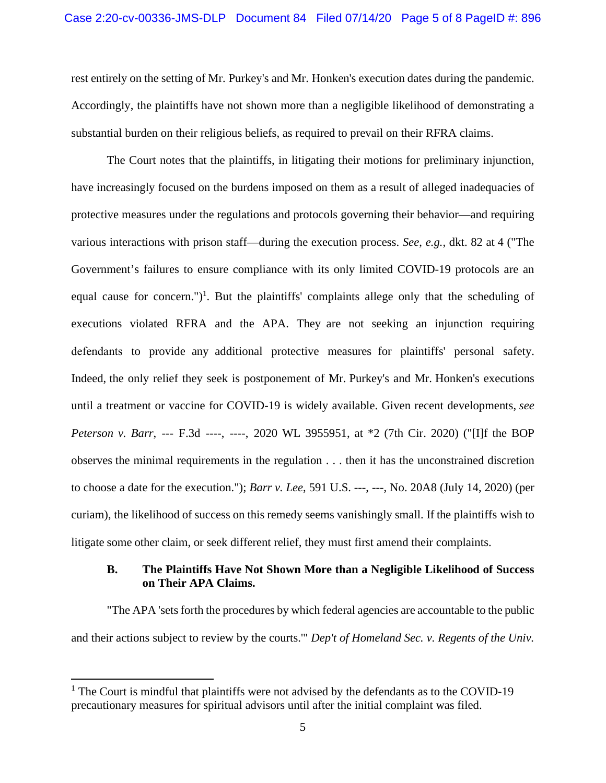rest entirely on the setting of Mr. Purkey's and Mr. Honken's execution dates during the pandemic. Accordingly, the plaintiffs have not shown more than a negligible likelihood of demonstrating a substantial burden on their religious beliefs, as required to prevail on their RFRA claims.

The Court notes that the plaintiffs, in litigating their motions for preliminary injunction, have increasingly focused on the burdens imposed on them as a result of alleged inadequacies of protective measures under the regulations and protocols governing their behavior—and requiring various interactions with prison staff—during the execution process. *See*, *e.g.*, dkt. 82 at 4 ("The Government's failures to ensure compliance with its only limited COVID-19 protocols are an equal cause for concern.")<sup>1</sup>. But the plaintiffs' complaints allege only that the scheduling of executions violated RFRA and the APA. They are not seeking an injunction requiring defendants to provide any additional protective measures for plaintiffs' personal safety. Indeed, the only relief they seek is postponement of Mr. Purkey's and Mr. Honken's executions until a treatment or vaccine for COVID-19 is widely available. Given recent developments, *see Peterson v. Barr*, --- F.3d ----, ----, 2020 WL 3955951, at \*2 (7th Cir. 2020) ("[I]f the BOP observes the minimal requirements in the regulation . . . then it has the unconstrained discretion to choose a date for the execution."); *Barr v. Lee*, 591 U.S. ---, ---, No. 20A8 (July 14, 2020) (per curiam), the likelihood of success on this remedy seems vanishingly small. If the plaintiffs wish to litigate some other claim, or seek different relief, they must first amend their complaints.

# **B. The Plaintiffs Have Not Shown More than a Negligible Likelihood of Success on Their APA Claims.**

"The APA 'sets forth the procedures by which federal agencies are accountable to the public and their actions subject to review by the courts.'" *Dep't of Homeland Sec. v. Regents of the Univ.* 

<sup>&</sup>lt;sup>1</sup> The Court is mindful that plaintiffs were not advised by the defendants as to the COVID-19 precautionary measures for spiritual advisors until after the initial complaint was filed.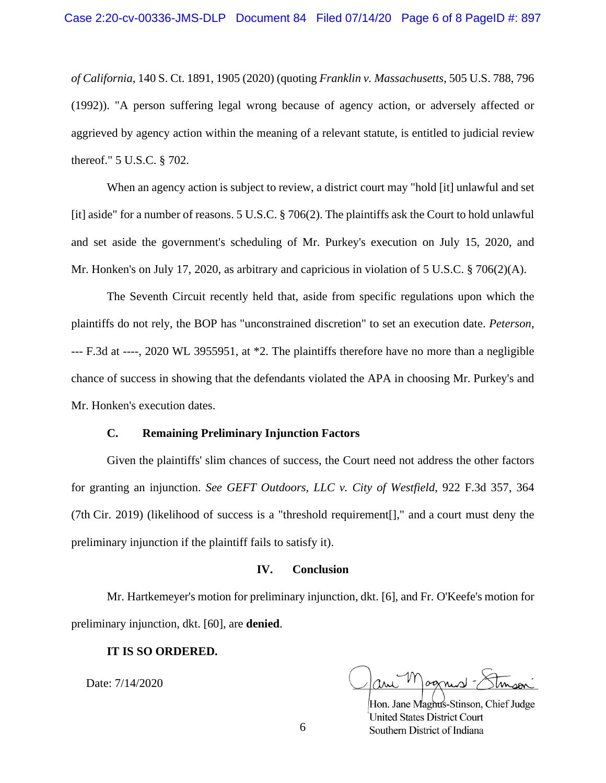*of California*, 140 S. Ct. 1891, 1905 (2020) (quoting *Franklin v. Massachusetts*, 505 U.S. 788, 796 (1992)). "A person suffering legal wrong because of agency action, or adversely affected or aggrieved by agency action within the meaning of a relevant statute, is entitled to judicial review thereof." 5 U.S.C. § 702.

When an agency action is subject to review, a district court may "hold [it] unlawful and set [it] aside" for a number of reasons. 5 U.S.C. § 706(2). The plaintiffs ask the Court to hold unlawful and set aside the government's scheduling of Mr. Purkey's execution on July 15, 2020, and Mr. Honken's on July 17, 2020, as arbitrary and capricious in violation of 5 U.S.C. § 706(2)(A).

The Seventh Circuit recently held that, aside from specific regulations upon which the plaintiffs do not rely, the BOP has "unconstrained discretion" to set an execution date. *Peterson*, --- F.3d at ----, 2020 WL 3955951, at \*2. The plaintiffs therefore have no more than a negligible chance of success in showing that the defendants violated the APA in choosing Mr. Purkey's and Mr. Honken's execution dates.

### **C. Remaining Preliminary Injunction Factors**

Given the plaintiffs' slim chances of success, the Court need not address the other factors for granting an injunction. *See GEFT Outdoors, LLC v. City of Westfield*, 922 F.3d 357, 364 (7th Cir. 2019) (likelihood of success is a "threshold requirement[]," and a court must deny the preliminary injunction if the plaintiff fails to satisfy it).

### **IV. Conclusion**

Mr. Hartkemeyer's motion for preliminary injunction, dkt. [6], and Fr. O'Keefe's motion for preliminary injunction, dkt. [60], are **denied**.

### **IT IS SO ORDERED.**

Date: 7/14/2020

ognist

Hon. Jane Maghus-Stinson, Chief Judge **United States District Court** Southern District of Indiana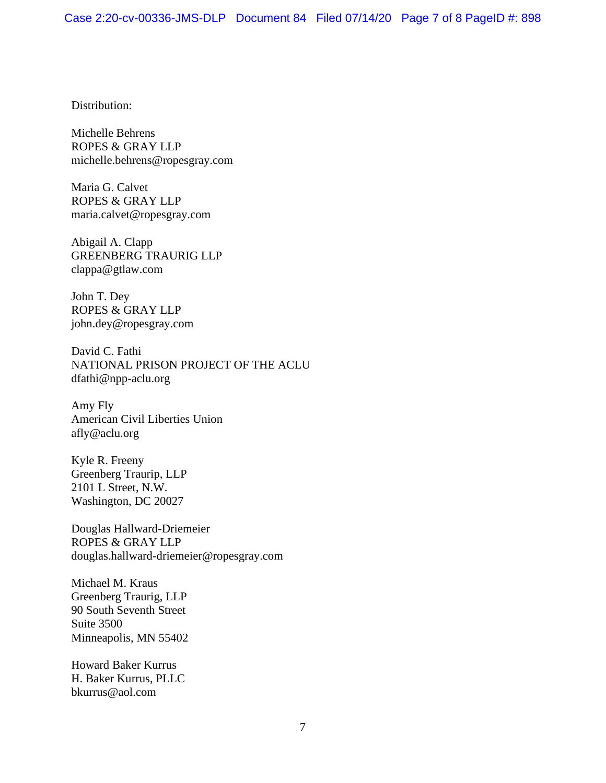Distribution:

Michelle Behrens ROPES & GRAY LLP michelle.behrens@ropesgray.com

Maria G. Calvet ROPES & GRAY LLP maria.calvet@ropesgray.com

Abigail A. Clapp GREENBERG TRAURIG LLP clappa@gtlaw.com

John T. Dey ROPES & GRAY LLP john.dey@ropesgray.com

David C. Fathi NATIONAL PRISON PROJECT OF THE ACLU dfathi@npp-aclu.org

Amy Fly American Civil Liberties Union afly@aclu.org

Kyle R. Freeny Greenberg Traurip, LLP 2101 L Street, N.W. Washington, DC 20027

Douglas Hallward-Driemeier ROPES & GRAY LLP douglas.hallward-driemeier@ropesgray.com

Michael M. Kraus Greenberg Traurig, LLP 90 South Seventh Street Suite 3500 Minneapolis, MN 55402

Howard Baker Kurrus H. Baker Kurrus, PLLC bkurrus@aol.com